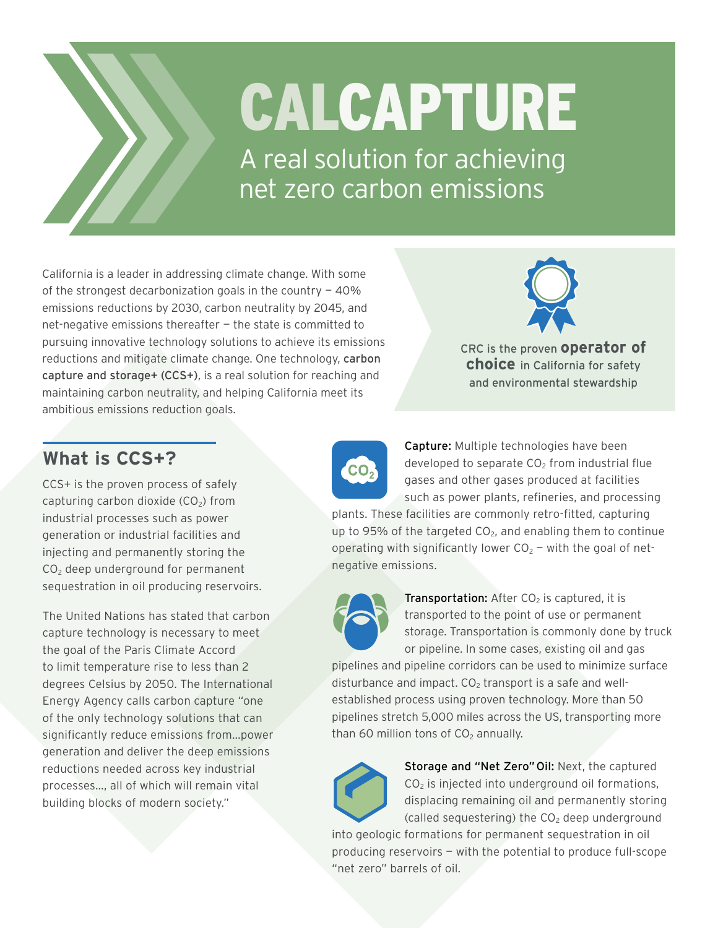

## CALCAPTURE

A real solution for achieving net zero carbon emissions

California is a leader in addressing climate change. With some of the strongest decarbonization goals in the country  $-40\%$ emissions reductions by 2030, carbon neutrality by 2045, and net-negative emissions thereafter — the state is committed to pursuing innovative technology solutions to achieve its emissions reductions and mitigate climate change. One technology, carbon capture and storage+ (CCS+), is a real solution for reaching and maintaining carbon neutrality, and helping California meet its ambitious emissions reduction goals.



CRC is the proven **operator of choice** in California for safety and environmental stewardship

## **What is CCS+?**

CCS+ is the proven process of safely capturing carbon dioxide  $(CO<sub>2</sub>)$  from industrial processes such as power generation or industrial facilities and injecting and permanently storing the CO<sub>2</sub> deep underground for permanent sequestration in oil producing reservoirs.

The United Nations has stated that carbon capture technology is necessary to meet the goal of the Paris Climate Accord to limit temperature rise to less than 2 degrees Celsius by 2050. The International Energy Agency calls carbon capture "one of the only technology solutions that can significantly reduce emissions from…power generation and deliver the deep emissions reductions needed across key industrial processes…, all of which will remain vital building blocks of modern society."



Capture: Multiple technologies have been developed to separate  $CO<sub>2</sub>$  from industrial flue gases and other gases produced at facilities such as power plants, refineries, and processing

plants. These facilities are commonly retro-fitted, capturing up to 95% of the targeted  $CO<sub>2</sub>$ , and enabling them to continue operating with significantly lower  $CO<sub>2</sub>$  – with the goal of netnegative emissions.



**Transportation:** After  $CO<sub>2</sub>$  is captured, it is transported to the point of use or permanent storage. Transportation is commonly done by truck or pipeline. In some cases, existing oil and gas

pipelines and pipeline corridors can be used to minimize surface disturbance and impact.  $CO<sub>2</sub>$  transport is a safe and wellestablished process using proven technology. More than 50 pipelines stretch 5,000 miles across the US, transporting more than 60 million tons of  $CO<sub>2</sub>$  annually.



Storage and "Net Zero" Oil: Next, the captured  $CO<sub>2</sub>$  is injected into underground oil formations, displacing remaining oil and permanently storing (called sequestering) the  $CO<sub>2</sub>$  deep underground

into geologic formations for permanent sequestration in oil producing reservoirs — with the potential to produce full-scope "net zero" barrels of oil.